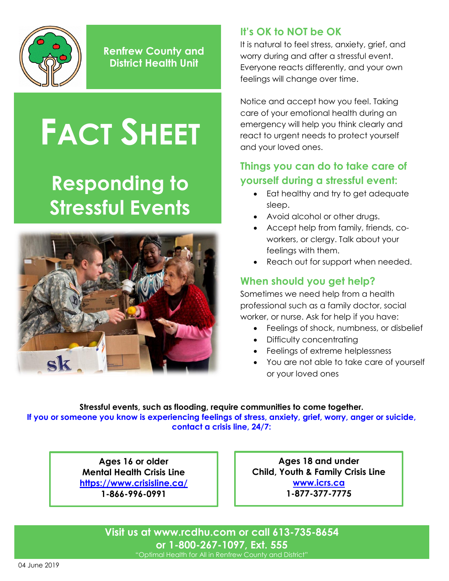

**Renfrew County and District Health Unit**

# **FACT SHEET**

## **Responding to Stressful Events**



#### **It's OK to NOT be OK**

It is natural to feel stress, anxiety, grief, and worry during and after a stressful event. Everyone reacts differently, and your own feelings will change over time.

Notice and accept how you feel. Taking care of your emotional health during an emergency will help you think clearly and react to urgent needs to protect yourself and your loved ones.

#### **Things you can do to take care of yourself during a stressful event:**

- Eat healthy and try to get adequate sleep.
- Avoid alcohol or other drugs.
- Accept help from family, friends, coworkers, or clergy. Talk about your feelings with them.
- Reach out for support when needed.

#### **When should you get help?**

Sometimes we need help from a health professional such as a family doctor, social worker, or nurse. Ask for help if you have:

- Feelings of shock, numbness, or disbelief
- Difficulty concentrating
- Feelings of extreme helplessness
- You are not able to take care of yourself or your loved ones

**Stressful events, such as flooding, require communities to come together. If you or someone you know is experiencing feelings of stress, anxiety, grief, worry, anger or suicide, contact a crisis line, 24/7:**

> **Ages 16 or older Mental Health Crisis Line <https://www.crisisline.ca/> 1-866-996-0991**

**Ages 18 and under Child, Youth & Family Crisis Line [www.icrs.ca](http://www.icrs.ca/en/) 1-877-377-7775**

**Visit us at [www.rcdhu.com](http://www.rcdhu.com/) or call 613-735-8654 or 1-800-267-1097, Ext. 555**

"Optimal Health for All in Renfrew County and District"